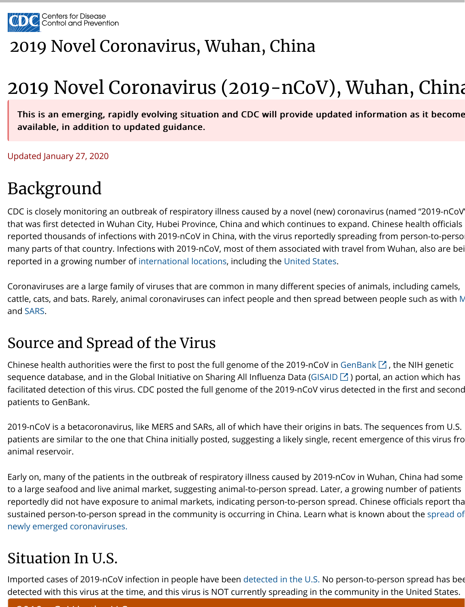CDC is closely monitoring an outbreak of respiratory illness caused by a novel (new) coronavirus (named "2019-nCoV") that was first detected in Wuhan City, Hubei Province, China and which cont reported thousands of infections with 2019-nCoV in China, with the virus re many parts of that country. Infections with 2019-nCoV, most of them association reported in a growing number of international locations, including the Unite

Coronaviruses are a large family of viruses that are common in many differe cattle, cats, and bats. Rarely, animal coronaviruses can infect people and the and SARS.

### Source and Spread of the Virus

Chinese health authorities were the first to post the full genome of the 2019 sequence database, and in the Global Initiative on Sharing All Influenza Data facilitated detection of this virus. CDC posted the full genome of the 2019-no patients to GenBank.

2019-nCoV is a betacoronavirus, like MERS and SARs, all of which have their patients are similar to the one that China initially posted, suggesting a likely animal reservoir.

Early on, many of the patients in [the outbreak of respira](https://www.cdc.gov/coronavirus/2019-ncov/locations-confirmed-cases.html#map)tory illness caused l to a large seafood and live animal market, suggesting animal-to-person spre reportedly did not have exposure to animal markets, indicating person-to-p sustained person-to-person spread in the community is occurring in China. new[ly em](https://www.cdc.gov/sars/index.html)erged coronaviruses.

## Situation In U.S.

Imported cases of 2019-nCoV infection in people have been detected in the detected with this virus at the time, and this virus is NOT currently spreading

### 2019-ncover in the U.S. and U.S. and U.S. and U.S. and U.S. and U.S. and U.S. and U.S. and U.S. and U.S. and U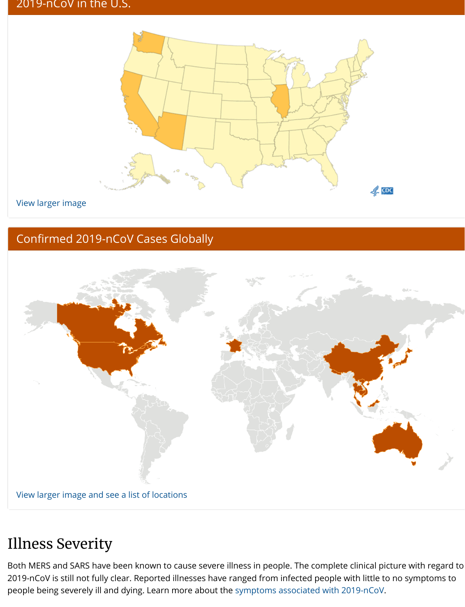### Confirmed 201[9-nCoV Cases Globally](https://www.cdc.gov/coronavirus/2019-ncov/cases-in-us.html)



#### View larger image and see a list of locations

### Illness Severity

Both MERS and SARS have been known to cause severe illness in people. Th 2019-nCoV is still not fully clear. Reported illnesses have ranged from infect people being severely ill and dying. Learn more about the symptoms association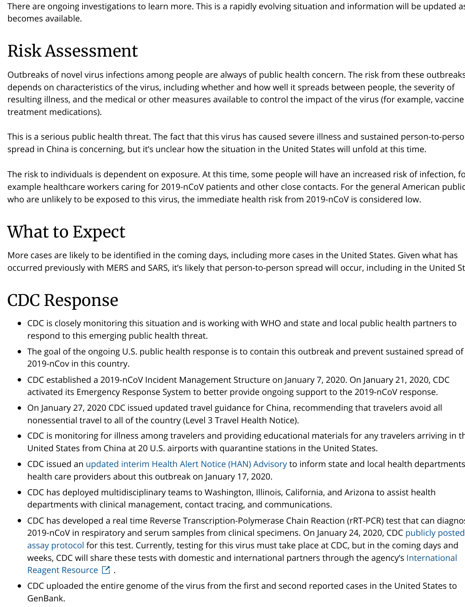# What to Expect

More cases are likely to be identified in the coming days, including more cas occurred previously with MERS and SARS, it's likely that person-to-person sp

## CDC Response

- CDC is closely monitoring this situation and is working with WHO and state and state and public and partners to  $P$ respond to this emerging public health threat.
- The goal of the ongoing U.S. public health response is to contain this o 2019-nCov in this country.
- CDC established a 2019-nCoV Incident Management Structure on Janua activated its Emergency Response System to better provide ongoing su
- On January 27, 2020 CDC issued updated travel guidance for China, redoming that that that that that that that t  $\bullet$ nonessential travel to all of the country (Level 3 Travel Health Notice).
- CDC is monitoring for illness among travelers and providing education United States from China at 20 U.S. airports with quarantine stations in
- CDC issued an updated interim Health Alert Notice (HAN) Advisory to in health care providers about this outbreak on January 17, 2020.
- CDC has deployed multidisciplinary teams to Washington, Illinois, California, and Arian, and Arian departments with clinical management, contact tracing, and communic
- CDC has developed a real time Reverse Transcription-Polymerase Chai 2019-nCoV in respiratory and serum samples from clinical specimens. assay protocol for this test. Currently, testing for this virus must take p weeks, CDC will share these tests with domestic and international part Reagent Resource  $\Box$ .
- CDC uploaded the entire genome of the virus from the first and second GenBank.